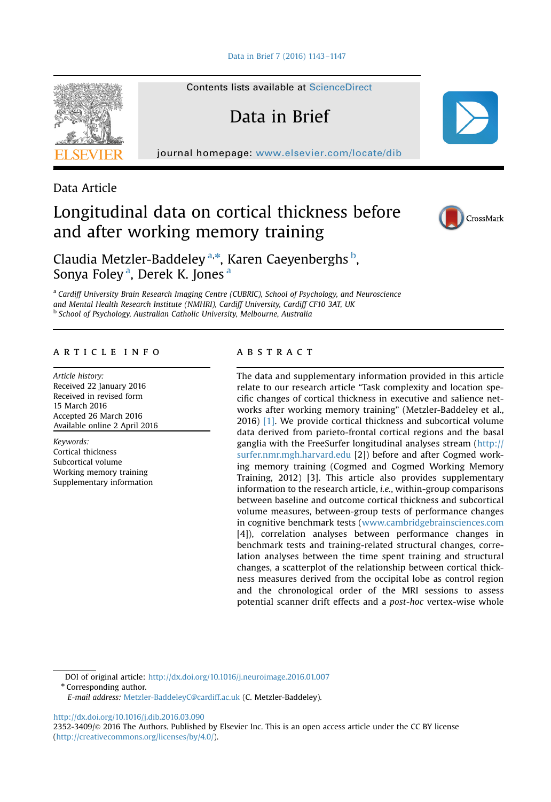[Data in Brief 7 \(2016\) 1143](http://dx.doi.org/10.1016/j.dib.2016.03.090)–1147

Contents lists available at [ScienceDirect](www.sciencedirect.com/science/journal/23523409)

Data in Brief

journal homepage: <www.elsevier.com/locate/dib>



Data Article

# Longitudinal data on cortical thickness before and after working memory training



Claudia Metzler-Baddeley<sup>a,\*</sup>, Karen Caeyenberghs <sup>b</sup>, Sonya Foley<sup>a</sup>, Derek K. Jones<sup>a</sup>

<sup>a</sup> Cardiff University Brain Research Imaging Centre (CUBRIC), School of Psychology, and Neuroscience and Mental Health Research Institute (NMHRI), Cardiff University, Cardiff CF10 3AT, UK <sup>b</sup> School of Psychology, Australian Catholic University, Melbourne, Australia

# article info

Article history: Received 22 January 2016 Received in revised form 15 March 2016 Accepted 26 March 2016 Available online 2 April 2016

Keywords: Cortical thickness Subcortical volume Working memory training Supplementary information

# **ABSTRACT**

The data and supplementary information provided in this article relate to our research article "Task complexity and location specific changes of cortical thickness in executive and salience networks after working memory training" (Metzler-Baddeley et al., 2016) [\[1\]](#page-4-0). We provide cortical thickness and subcortical volume data derived from parieto-frontal cortical regions and the basal ganglia with the FreeSurfer longitudinal analyses stream [\(http://](http://surfer.nmr.mgh.harvard.edu) [surfer.nmr.mgh.harvard.edu](http://surfer.nmr.mgh.harvard.edu) [2]) before and after Cogmed working memory training (Cogmed and Cogmed Working Memory Training, 2012) [3]. This article also provides supplementary information to the research article, i.e., within-group comparisons between baseline and outcome cortical thickness and subcortical volume measures, between-group tests of performance changes in cognitive benchmark tests [\(www.cambridgebrainsciences.com](http://www.cambridgebrainsciences.com) [4]), correlation analyses between performance changes in benchmark tests and training-related structural changes, correlation analyses between the time spent training and structural changes, a scatterplot of the relationship between cortical thickness measures derived from the occipital lobe as control region and the chronological order of the MRI sessions to assess potential scanner drift effects and a post-hoc vertex-wise whole

DOI of original article: http://dx.doi.org/10.1016/j.neuroimage.2016.01.007 \* Corresponding author.

E-mail address: [Metzler-BaddeleyC@cardiff.ac.uk](mailto:Metzler-BaddeleyC@cardiff.ac.uk) (C. Metzler-Baddeley).

<http://dx.doi.org/10.1016/j.dib.2016.03.090>

2352-3409/ $\odot$  2016 The Authors. Published by Elsevier Inc. This is an open access article under the CC BY license (http://creativecommons.org/licenses/by/4.0/).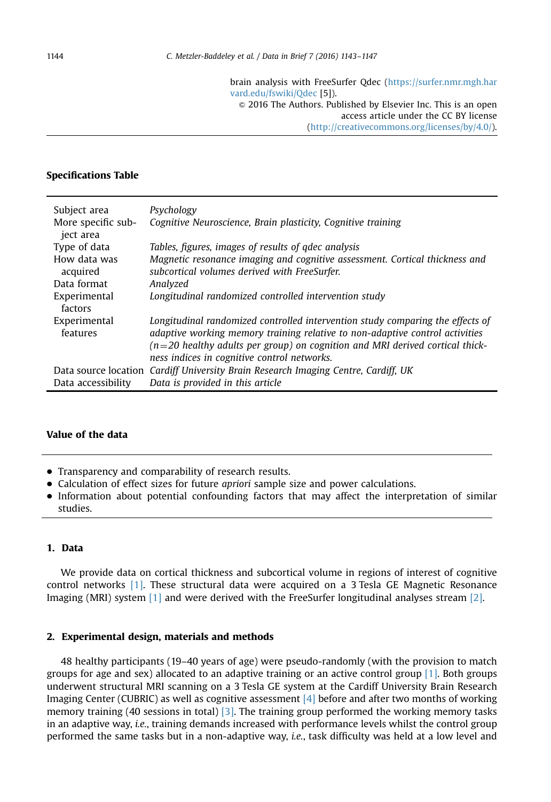brain analysis with FreeSurfer Qdec ([https://surfer.nmr.mgh.har](https://surfer.nmr.mgh.harvard.edu/fswiki/Qdec) [vard.edu/fswiki/Qdec](https://surfer.nmr.mgh.harvard.edu/fswiki/Qdec) [5]).

 $\odot$  2016 The Authors. Published by Elsevier Inc. This is an open access article under the CC BY license

(http://creativecommons.org/licenses/by/4.0/).

# Specifications Table

| Subject area                    | Psychology                                                                                                                                                                                                                                                                                      |
|---------------------------------|-------------------------------------------------------------------------------------------------------------------------------------------------------------------------------------------------------------------------------------------------------------------------------------------------|
| More specific sub-<br>iect area | Cognitive Neuroscience, Brain plasticity, Cognitive training                                                                                                                                                                                                                                    |
| Type of data                    | Tables, figures, images of results of gdec analysis                                                                                                                                                                                                                                             |
| How data was<br>acquired        | Magnetic resonance imaging and cognitive assessment. Cortical thickness and<br>subcortical volumes derived with FreeSurfer.                                                                                                                                                                     |
| Data format                     | Analyzed                                                                                                                                                                                                                                                                                        |
| Experimental<br>factors         | Longitudinal randomized controlled intervention study                                                                                                                                                                                                                                           |
| Experimental<br>features        | Longitudinal randomized controlled intervention study comparing the effects of<br>adaptive working memory training relative to non-adaptive control activities<br>$(n=20$ healthy adults per group) on cognition and MRI derived cortical thick-<br>ness indices in cognitive control networks. |
|                                 | Data source location Cardiff University Brain Research Imaging Centre, Cardiff, UK                                                                                                                                                                                                              |
| Data accessibility              | Data is provided in this article                                                                                                                                                                                                                                                                |

# Value of the data

- Transparency and comparability of research results.
- Calculation of effect sizes for future *apriori* sample size and power calculations.
- Information about potential confounding factors that may affect the interpretation of similar studies.

# 1. Data

We provide data on cortical thickness and subcortical volume in regions of interest of cognitive control networks [\[1\]](#page-4-0). These structural data were acquired on a 3 Tesla GE Magnetic Resonance Imaging (MRI) system [\[1\]](#page-4-0) and were derived with the FreeSurfer longitudinal analyses stream [\[2\].](#page-4-0)

## 2. Experimental design, materials and methods

48 healthy participants (19–40 years of age) were pseudo-randomly (with the provision to match groups for age and sex) allocated to an adaptive training or an active control group [\[1\].](#page-4-0) Both groups underwent structural MRI scanning on a 3 Tesla GE system at the Cardiff University Brain Research Imaging Center (CUBRIC) as well as cognitive assessment [\[4\]](#page-4-0) before and after two months of working memory training (40 sessions in total) [\[3\].](#page-4-0) The training group performed the working memory tasks in an adaptive way, i.e., training demands increased with performance levels whilst the control group performed the same tasks but in a non-adaptive way, i.e., task difficulty was held at a low level and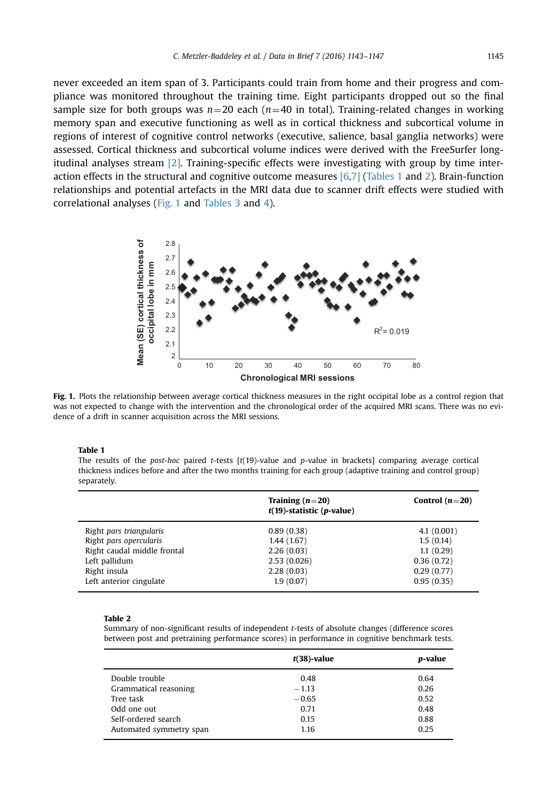never exceeded an item span of 3. Participants could train from home and their progress and compliance was monitored throughout the training time. Eight participants dropped out so the final sample size for both groups was  $n=20$  each ( $n=40$  in total). Training-related changes in working memory span and executive functioning as well as in cortical thickness and subcortical volume in regions of interest of cognitive control networks (executive, salience, basal ganglia networks) were assessed. Cortical thickness and subcortical volume indices were derived with the FreeSurfer longitudinal analyses stream [\[2\]](#page-4-0). Training-specific effects were investigating with group by time interaction effects in the structural and cognitive outcome measures [\[6,7\]](#page-4-0) (Tables 1 and 2). Brain-function relationships and potential artefacts in the MRI data due to scanner drift effects were studied with correlational analyses (Fig. 1 and [Tables 3](#page-3-0) and [4\)](#page-3-0).



Fig. 1. Plots the relationship between average cortical thickness measures in the right occipital lobe as a control region that was not expected to change with the intervention and the chronological order of the acquired MRI scans. There was no evidence of a drift in scanner acquisition across the MRI sessions.

#### Table 1

The results of the post-hoc paired t-tests  $[t(19)-$ value and p-value in brackets] comparing average cortical thickness indices before and after the two months training for each group (adaptive training and control group) separately.

|                                                                                                                   | Training $(n=20)$<br>$t(19)$ -statistic (p-value)                   | Control $(n=20)$                                                 |
|-------------------------------------------------------------------------------------------------------------------|---------------------------------------------------------------------|------------------------------------------------------------------|
| Right pars triangularis<br>Right pars opercularis<br>Right caudal middle frontal<br>Left pallidum<br>Right insula | 0.89(0.38)<br>1.44(1.67)<br>2.26(0.03)<br>2.53(0.026)<br>2.28(0.03) | 4.1(0.001)<br>1.5(0.14)<br>1.1(0.29)<br>0.36(0.72)<br>0.29(0.77) |
| Left anterior cingulate                                                                                           | 1.9(0.07)                                                           | 0.95(0.35)                                                       |

#### Table 2

Summary of non-significant results of independent t-tests of absolute changes (difference scores between post and pretraining performance scores) in performance in cognitive benchmark tests.

|                         | $t(38)$ -value | p-value |
|-------------------------|----------------|---------|
| Double trouble          | 0.48           | 0.64    |
| Grammatical reasoning   | $-1.13$        | 0.26    |
| Tree task               | $-0.65$        | 0.52    |
| Odd one out             | 0.71           | 0.48    |
| Self-ordered search     | 0.15           | 0.88    |
| Automated symmetry span | 1.16           | 0.25    |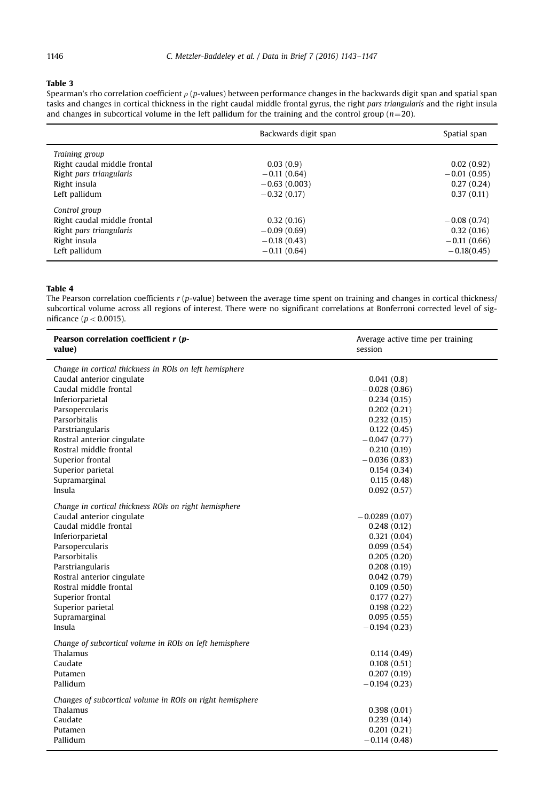## <span id="page-3-0"></span>Table 3

Spearman's rho correlation coefficient  $\rho$  (p-values) between performance changes in the backwards digit span and spatial span tasks and changes in cortical thickness in the right caudal middle frontal gyrus, the right pars triangularis and the right insula and changes in subcortical volume in the left pallidum for the training and the control group ( $n=20$ ).

|                             | Backwards digit span | Spatial span  |
|-----------------------------|----------------------|---------------|
| Training group              |                      |               |
| Right caudal middle frontal | 0.03(0.9)            | 0.02(0.92)    |
| Right pars triangularis     | $-0.11(0.64)$        | $-0.01(0.95)$ |
| Right insula                | $-0.63(0.003)$       | 0.27(0.24)    |
| Left pallidum               | $-0.32(0.17)$        | 0.37(0.11)    |
| Control group               |                      |               |
| Right caudal middle frontal | 0.32(0.16)           | $-0.08(0.74)$ |
| Right pars triangularis     | $-0.09(0.69)$        | 0.32(0.16)    |
| Right insula                | $-0.18(0.43)$        | $-0.11(0.66)$ |
| Left pallidum               | $-0.11(0.64)$        | $-0.18(0.45)$ |

## Table 4

l,

The Pearson correlation coefficients  $r$  (p-value) between the average time spent on training and changes in cortical thickness/ subcortical volume across all regions of interest. There were no significant correlations at Bonferroni corrected level of significance ( $p < 0.0015$ ).

| Pearson correlation coefficient r (p-<br>value)           | Average active time per training<br>session |
|-----------------------------------------------------------|---------------------------------------------|
| Change in cortical thickness in ROIs on left hemisphere   |                                             |
| Caudal anterior cingulate                                 | 0.041(0.8)                                  |
| Caudal middle frontal                                     | $-0.028(0.86)$                              |
| Inferiorparietal                                          | 0.234(0.15)                                 |
| Parsopercularis                                           | 0.202(0.21)                                 |
| Parsorbitalis                                             | 0.232(0.15)                                 |
| Parstriangularis                                          | 0.122(0.45)                                 |
| Rostral anterior cingulate                                | $-0.047(0.77)$                              |
| Rostral middle frontal                                    | 0.210(0.19)                                 |
| Superior frontal                                          | $-0.036(0.83)$                              |
| Superior parietal                                         | 0.154(0.34)                                 |
| Supramarginal                                             | 0.115(0.48)                                 |
| Insula                                                    | 0.092(0.57)                                 |
| Change in cortical thickness ROIs on right hemisphere     |                                             |
| Caudal anterior cingulate                                 | $-0.0289(0.07)$                             |
| Caudal middle frontal                                     | 0.248(0.12)                                 |
| Inferiorparietal                                          | 0.321(0.04)                                 |
| Parsopercularis                                           | 0.099(0.54)                                 |
| Parsorbitalis                                             | 0.205(0.20)                                 |
| Parstriangularis                                          | 0.208(0.19)                                 |
| Rostral anterior cingulate                                | 0.042(0.79)                                 |
| Rostral middle frontal                                    | 0.109(0.50)                                 |
| Superior frontal                                          | 0.177(0.27)                                 |
| Superior parietal                                         | 0.198(0.22)                                 |
| Supramarginal                                             | 0.095(0.55)                                 |
| Insula                                                    | $-0.194(0.23)$                              |
| Change of subcortical volume in ROIs on left hemisphere   |                                             |
| Thalamus                                                  | 0.114(0.49)                                 |
| Caudate                                                   | 0.108(0.51)                                 |
| Putamen                                                   | 0.207(0.19)                                 |
| Pallidum                                                  | $-0.194(0.23)$                              |
|                                                           |                                             |
| Changes of subcortical volume in ROIs on right hemisphere |                                             |
| Thalamus                                                  | 0.398(0.01)                                 |
| Caudate                                                   | 0.239(0.14)                                 |
| Putamen                                                   | 0.201(0.21)                                 |
| Pallidum                                                  | $-0.114(0.48)$                              |